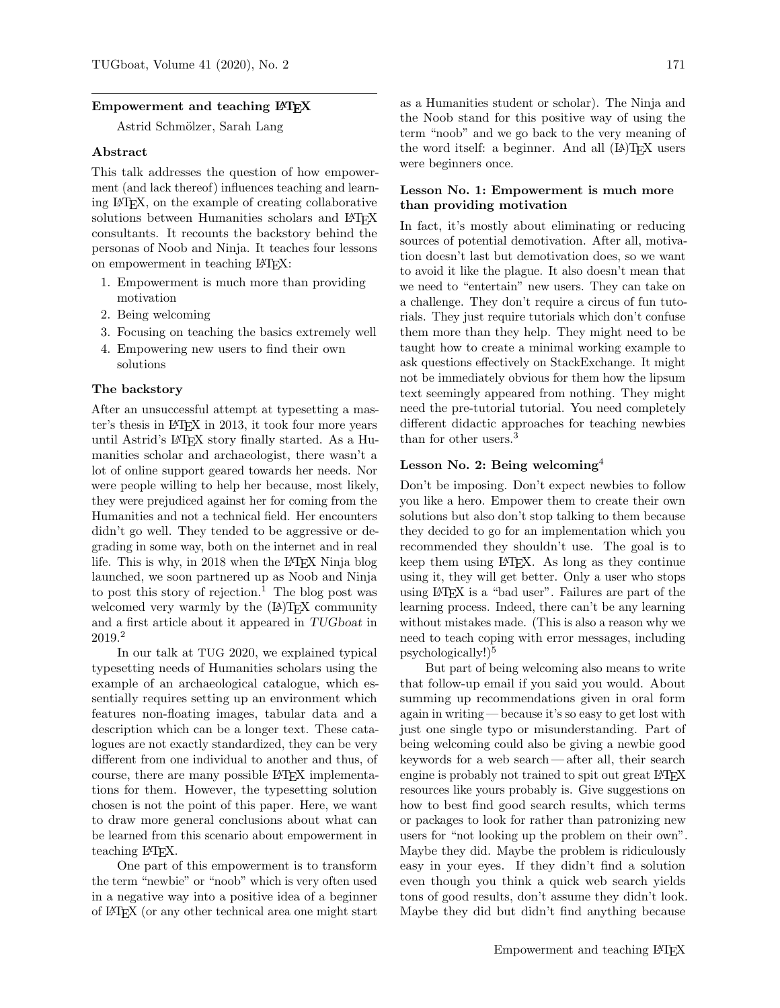#### Empowerment and teaching  $\cancel{B}$ FFX

Astrid Schmölzer, Sarah Lang

### Abstract

This talk addresses the question of how empowerment (and lack thereof) influences teaching and learning LATEX, on the example of creating collaborative solutions between Humanities scholars and LAT<sub>EX</sub> consultants. It recounts the backstory behind the personas of Noob and Ninja. It teaches four lessons on empowerment in teaching LATEX:

- 1. Empowerment is much more than providing motivation
- 2. Being welcoming
- 3. Focusing on teaching the basics extremely well
- 4. Empowering new users to find their own solutions

#### The backstory

After an unsuccessful attempt at typesetting a master's thesis in LATEX in 2013, it took four more years until Astrid's L<sup>AT</sup>EX story finally started. As a Humanities scholar and archaeologist, there wasn't a lot of online support geared towards her needs. Nor were people willing to help her because, most likely, they were prejudiced against her for coming from the Humanities and not a technical field. Her encounters didn't go well. They tended to be aggressive or degrading in some way, both on the internet and in real life. This is why, in 2018 when the LATEX Ninja blog launched, we soon partnered up as Noob and Ninja to post this story of rejection.<sup>1</sup> The blog post was welcomed very warmly by the  $(L)$ FEX community and a first article about it appeared in TUGboat in 2019.<sup>2</sup>

In our talk at TUG 2020, we explained typical typesetting needs of Humanities scholars using the example of an archaeological catalogue, which essentially requires setting up an environment which features non-floating images, tabular data and a description which can be a longer text. These catalogues are not exactly standardized, they can be very different from one individual to another and thus, of course, there are many possible LATEX implementations for them. However, the typesetting solution chosen is not the point of this paper. Here, we want to draw more general conclusions about what can be learned from this scenario about empowerment in teaching LAT<sub>F</sub>X.

One part of this empowerment is to transform the term "newbie" or "noob" which is very often used in a negative way into a positive idea of a beginner of LATEX (or any other technical area one might start

as a Humanities student or scholar). The Ninja and the Noob stand for this positive way of using the term "noob" and we go back to the very meaning of the word itself: a beginner. And all ( $L^{\text{A}}$ )TFX users were beginners once.

### Lesson No. 1: Empowerment is much more than providing motivation

In fact, it's mostly about eliminating or reducing sources of potential demotivation. After all, motivation doesn't last but demotivation does, so we want to avoid it like the plague. It also doesn't mean that we need to "entertain" new users. They can take on a challenge. They don't require a circus of fun tutorials. They just require tutorials which don't confuse them more than they help. They might need to be taught how to create a minimal working example to ask questions effectively on StackExchange. It might not be immediately obvious for them how the lipsum text seemingly appeared from nothing. They might need the pre-tutorial tutorial. You need completely different didactic approaches for teaching newbies than for other users.<sup>3</sup>

### Lesson No. 2: Being welcoming<sup>4</sup>

Don't be imposing. Don't expect newbies to follow you like a hero. Empower them to create their own solutions but also don't stop talking to them because they decided to go for an implementation which you recommended they shouldn't use. The goal is to keep them using LATEX. As long as they continue using it, they will get better. Only a user who stops using LATEX is a "bad user". Failures are part of the learning process. Indeed, there can't be any learning without mistakes made. (This is also a reason why we need to teach coping with error messages, including psychologically!)<sup>5</sup>

But part of being welcoming also means to write that follow-up email if you said you would. About summing up recommendations given in oral form again in writing — because it's so easy to get lost with just one single typo or misunderstanding. Part of being welcoming could also be giving a newbie good keywords for a web search— after all, their search engine is probably not trained to spit out great LAT<sub>EX</sub> resources like yours probably is. Give suggestions on how to best find good search results, which terms or packages to look for rather than patronizing new users for "not looking up the problem on their own". Maybe they did. Maybe the problem is ridiculously easy in your eyes. If they didn't find a solution even though you think a quick web search yields tons of good results, don't assume they didn't look. Maybe they did but didn't find anything because